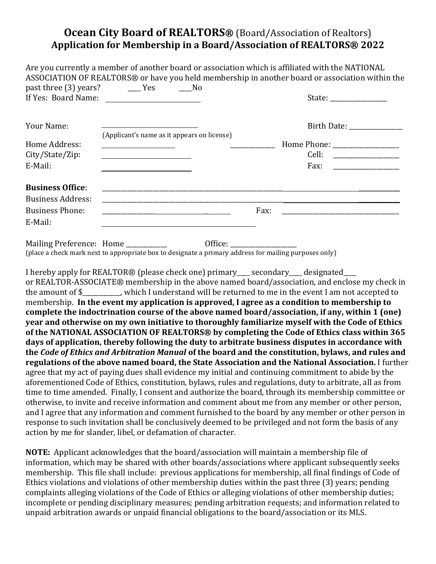# **Ocean City Board of REALTORS®** (Board/Association of Realtors) **Application for Membership in a Board/Association of REALTORS® 2022**

| past three (3) years? ________ Yes | Are you currently a member of another board or association which is affiliated with the NATIONAL<br>ASSOCIATION OF REALTORS® or have you held membership in another board or association within the<br><b>No</b> |      | State: $\frac{1}{2}$     |  |
|------------------------------------|------------------------------------------------------------------------------------------------------------------------------------------------------------------------------------------------------------------|------|--------------------------|--|
| Your Name:                         | (Applicant's name as it appears on license)                                                                                                                                                                      |      | Birth Date:              |  |
| Home Address:                      | the control of the control of the control of                                                                                                                                                                     |      |                          |  |
| City/State/Zip:                    | the control of the control of the control of the control of the control of                                                                                                                                       |      | Cell: __________________ |  |
| E-Mail:                            |                                                                                                                                                                                                                  |      | Fax: $\qquad \qquad$     |  |
| <b>Business Office:</b>            |                                                                                                                                                                                                                  |      |                          |  |
| <b>Business Address:</b>           |                                                                                                                                                                                                                  |      |                          |  |
| <b>Business Phone:</b>             |                                                                                                                                                                                                                  | Fax: |                          |  |
| E-Mail:                            |                                                                                                                                                                                                                  |      |                          |  |
|                                    |                                                                                                                                                                                                                  |      |                          |  |

Mailing Preference: Home \_\_\_\_\_\_\_\_\_\_\_\_\_\_ Office: \_\_\_\_\_\_\_\_\_\_\_\_\_\_\_\_\_\_\_\_\_\_\_\_\_\_\_\_\_\_\_\_ (place a check mark next to appropriate box to designate a primary address for mailing purposes only)

I hereby apply for REALTOR® (please check one) primary\_\_\_\_ secondary\_\_\_\_ designated\_\_\_\_ or REALTOR-ASSOCIATE® membership in the above named board/association, and enclose my check in the amount of \$\_\_\_\_\_\_\_\_\_\_\_\_, which I understand will be returned to me in the event I am not accepted to membership. **In the event my application is approved, I agree as a condition to membership to complete the indoctrination course of the above named board/association, if any, within 1 (one) year and otherwise on my own initiative to thoroughly familiarize myself with the Code of Ethics of the NATIONAL ASSOCIATION OF REALTORS® by completing the Code of Ethics class within 365 days of application, thereby following the duty to arbitrate business disputes in accordance with the** *Code of Ethics and Arbitration Manual* **of the board and the constitution, bylaws, and rules and regulations of the above named board, the State Association and the National Association.** I further agree that my act of paying dues shall evidence my initial and continuing commitment to abide by the aforementioned Code of Ethics, constitution, bylaws, rules and regulations, duty to arbitrate, all as from time to time amended. Finally, I consent and authorize the board, through its membership committee or otherwise, to invite and receive information and comment about me from any member or other person, and I agree that any information and comment furnished to the board by any member or other person in response to such invitation shall be conclusively deemed to be privileged and not form the basis of any action by me for slander, libel, or defamation of character.

**NOTE:** Applicant acknowledges that the board/association will maintain a membership file of information, which may be shared with other boards/associations where applicant subsequently seeks membership. This file shall include: previous applications for membership, all final findings of Code of Ethics violations and violations of other membership duties within the past three (3) years; pending complaints alleging violations of the Code of Ethics or alleging violations of other membership duties; incomplete or pending disciplinary measures; pending arbitration requests; and information related to unpaid arbitration awards or unpaid financial obligations to the board/association or its MLS.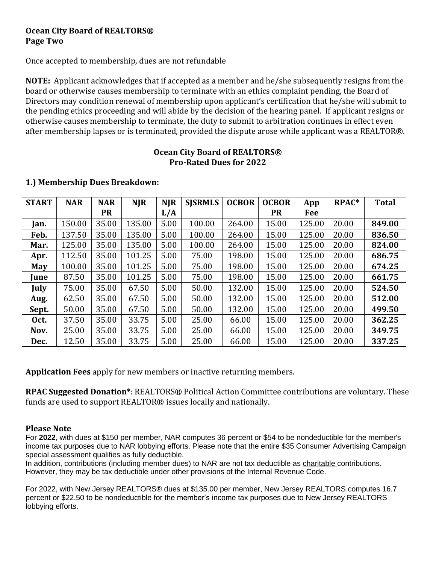## **Ocean City Board of REALTORS® Page Two**

Once accepted to membership, dues are not refundable

**NOTE:** Applicant acknowledges that if accepted as a member and he/she subsequently resigns from the board or otherwise causes membership to terminate with an ethics complaint pending, the Board of Directors may condition renewal of membership upon applicant's certification that he/she will submit to the pending ethics proceeding and will abide by the decision of the hearing panel. If applicant resigns or otherwise causes membership to terminate, the duty to submit to arbitration continues in effect even after membership lapses or is terminated, provided the dispute arose while applicant was a REALTOR®.

## **Ocean City Board of REALTORS® Pro-Rated Dues for 2022**

## **1.) Membership Dues Breakdown:**

| <b>START</b> | <b>NAR</b> | <b>NAR</b> | <b>NJR</b> | <b>NJR</b> | <b>SISRMLS</b> | <b>OCBOR</b> | <b>OCBOR</b> | App    | RPAC* | <b>Total</b> |
|--------------|------------|------------|------------|------------|----------------|--------------|--------------|--------|-------|--------------|
|              |            | <b>PR</b>  |            | L/A        |                |              | <b>PR</b>    | Fee    |       |              |
| Jan.         | 150.00     | 35.00      | 135.00     | 5.00       | 100.00         | 264.00       | 15.00        | 125.00 | 20.00 | 849.00       |
| Feb.         | 137.50     | 35.00      | 135.00     | 5.00       | 100.00         | 264.00       | 15.00        | 125.00 | 20.00 | 836.50       |
| Mar.         | 125.00     | 35.00      | 135.00     | 5.00       | 100.00         | 264.00       | 15.00        | 125.00 | 20.00 | 824.00       |
| Apr.         | 112.50     | 35.00      | 101.25     | 5.00       | 75.00          | 198.00       | 15.00        | 125.00 | 20.00 | 686.75       |
| May          | 100.00     | 35.00      | 101.25     | 5.00       | 75.00          | 198.00       | 15.00        | 125.00 | 20.00 | 674.25       |
| June         | 87.50      | 35.00      | 101.25     | 5.00       | 75.00          | 198.00       | 15.00        | 125.00 | 20.00 | 661.75       |
| July         | 75.00      | 35.00      | 67.50      | 5.00       | 50.00          | 132.00       | 15.00        | 125.00 | 20.00 | 524.50       |
| Aug.         | 62.50      | 35.00      | 67.50      | 5.00       | 50.00          | 132.00       | 15.00        | 125.00 | 20.00 | 512.00       |
| Sept.        | 50.00      | 35.00      | 67.50      | 5.00       | 50.00          | 132.00       | 15.00        | 125.00 | 20.00 | 499.50       |
| Oct.         | 37.50      | 35.00      | 33.75      | 5.00       | 25.00          | 66.00        | 15.00        | 125.00 | 20.00 | 362.25       |
| Nov.         | 25.00      | 35.00      | 33.75      | 5.00       | 25.00          | 66.00        | 15.00        | 125.00 | 20.00 | 349.75       |
| Dec.         | 12.50      | 35.00      | 33.75      | 5.00       | 25.00          | 66.00        | 15.00        | 125.00 | 20.00 | 337.25       |

**Application Fees** apply for new members or inactive returning members.

**RPAC Suggested Donation\***: REALTORS® Political Action Committee contributions are voluntary. These funds are used to support REALTOR® issues locally and nationally.

#### **Please Note**

For **2022**, with dues at \$150 per member, NAR computes 36 percent or \$54 to be nondeductible for the member's income tax purposes due to NAR lobbying efforts. Please note that the entire \$35 Consumer Advertising Campaign special assessment qualifies as fully deductible.

In addition, contributions (including member dues) to NAR are not tax deductible as charitable contributions. However, they may be tax deductible under other provisions of the Internal Revenue Code.

For 2022, with New Jersey REALTORS® dues at \$135.00 per member, New Jersey REALTORS computes 16.7 percent or \$22.50 to be nondeductible for the member's income tax purposes due to New Jersey REALTORS lobbying efforts.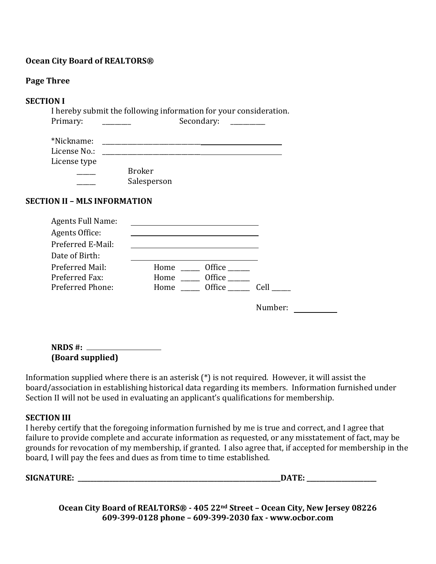## **Ocean City Board of REALTORS®**

#### **Page Three**

#### **SECTION I**

|                            | I hereby submit the following information for your consideration. |            |  |
|----------------------------|-------------------------------------------------------------------|------------|--|
| Primary:                   |                                                                   | Secondary: |  |
| *Nickname:<br>License No.: |                                                                   |            |  |
| License type               |                                                                   |            |  |
|                            | <b>Broker</b><br>Salesperson                                      |            |  |

## **SECTION II – MLS INFORMATION**

| <b>Agents Full Name:</b> |                        |  |
|--------------------------|------------------------|--|
| Agents Office:           |                        |  |
| Preferred E-Mail:        |                        |  |
| Date of Birth:           |                        |  |
| Preferred Mail:          | Office<br>Home         |  |
| Preferred Fax:           | Office<br>Home         |  |
| Preferred Phone:         | Office<br>Cell<br>Home |  |
|                          |                        |  |

Number:

**NRDS #: (Board supplied)**

Information supplied where there is an asterisk (\*) is not required. However, it will assist the board/association in establishing historical data regarding its members. Information furnished under Section II will not be used in evaluating an applicant's qualifications for membership.

#### **SECTION III**

I hereby certify that the foregoing information furnished by me is true and correct, and I agree that failure to provide complete and accurate information as requested, or any misstatement of fact, may be grounds for revocation of my membership, if granted. I also agree that, if accepted for membership in the board, I will pay the fees and dues as from time to time established.

**SIGNATURE: \_\_\_\_\_\_\_\_\_\_\_\_\_\_\_\_\_\_\_\_\_\_\_\_\_\_\_\_\_\_\_\_\_\_\_\_\_\_\_\_\_\_\_\_\_\_\_\_\_\_\_\_\_\_\_\_\_\_\_\_\_\_\_\_DATE: \_\_\_\_\_\_\_\_\_\_\_\_\_\_\_\_\_\_\_\_\_\_**

**Ocean City Board of REALTORS® - 405 22nd Street – Ocean City, New Jersey 08226 609-399-0128 phone – 609-399-2030 fax - www.ocbor.com**